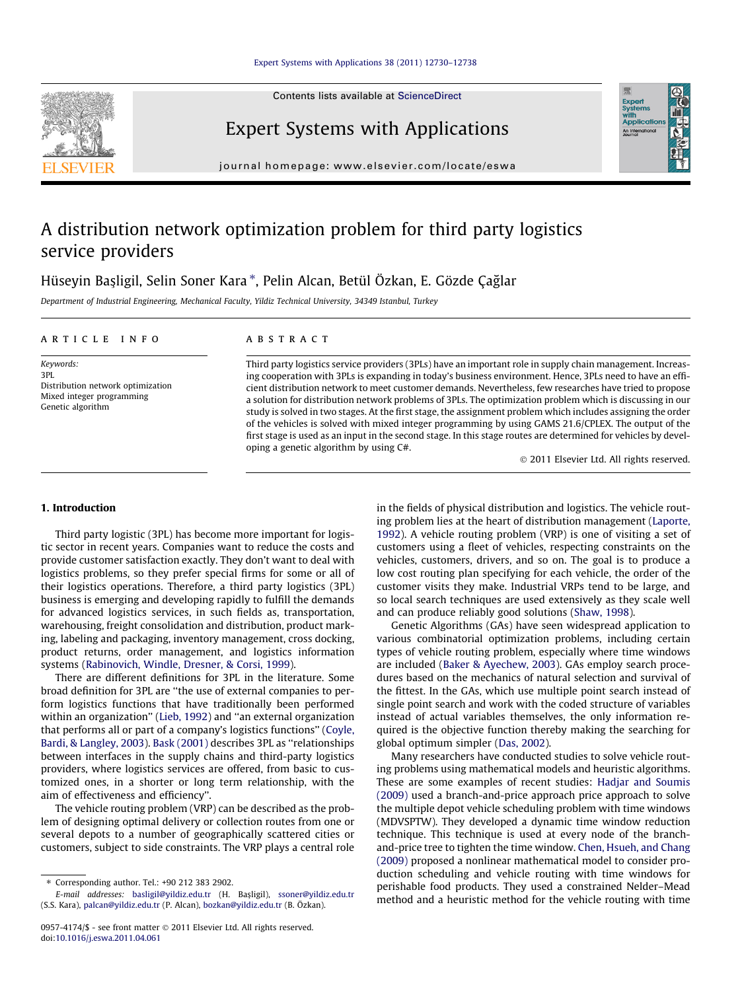Contents lists available at [ScienceDirect](http://www.sciencedirect.com/science/journal/09574174)

Expert Systems with Applications

journal homepage: [www.elsevier.com/locate/eswa](http://www.elsevier.com/locate/eswa)

# A distribution network optimization problem for third party logistics service providers

Hüseyin Başligil, Selin Soner Kara\*, Pelin Alcan, Betül Özkan, E. Gözde Çağlar

Department of Industrial Engineering, Mechanical Faculty, Yildiz Technical University, 34349 Istanbul, Turkey

#### article info

Keywords: 3PL Distribution network optimization Mixed integer programming Genetic algorithm

#### ABSTRACT

Third party logistics service providers (3PLs) have an important role in supply chain management. Increasing cooperation with 3PLs is expanding in today's business environment. Hence, 3PLs need to have an efficient distribution network to meet customer demands. Nevertheless, few researches have tried to propose a solution for distribution network problems of 3PLs. The optimization problem which is discussing in our study is solved in two stages. At the first stage, the assignment problem which includes assigning the order of the vehicles is solved with mixed integer programming by using GAMS 21.6/CPLEX. The output of the first stage is used as an input in the second stage. In this stage routes are determined for vehicles by developing a genetic algorithm by using C#.

- 2011 Elsevier Ltd. All rights reserved.

## 1. Introduction

Third party logistic (3PL) has become more important for logistic sector in recent years. Companies want to reduce the costs and provide customer satisfaction exactly. They don't want to deal with logistics problems, so they prefer special firms for some or all of their logistics operations. Therefore, a third party logistics (3PL) business is emerging and developing rapidly to fulfill the demands for advanced logistics services, in such fields as, transportation, warehousing, freight consolidation and distribution, product marking, labeling and packaging, inventory management, cross docking, product returns, order management, and logistics information systems ([Rabinovich, Windle, Dresner, & Corsi, 1999](#page--1-0)).

There are different definitions for 3PL in the literature. Some broad definition for 3PL are ''the use of external companies to perform logistics functions that have traditionally been performed within an organization'' ([Lieb, 1992](#page--1-0)) and ''an external organization that performs all or part of a company's logistics functions'' [\(Coyle,](#page--1-0) [Bardi, & Langley, 2003\)](#page--1-0). [Bask \(2001\)](#page--1-0) describes 3PL as ''relationships between interfaces in the supply chains and third-party logistics providers, where logistics services are offered, from basic to customized ones, in a shorter or long term relationship, with the aim of effectiveness and efficiency''.

The vehicle routing problem (VRP) can be described as the problem of designing optimal delivery or collection routes from one or several depots to a number of geographically scattered cities or customers, subject to side constraints. The VRP plays a central role in the fields of physical distribution and logistics. The vehicle routing problem lies at the heart of distribution management [\(Laporte,](#page--1-0) [1992\)](#page--1-0). A vehicle routing problem (VRP) is one of visiting a set of customers using a fleet of vehicles, respecting constraints on the vehicles, customers, drivers, and so on. The goal is to produce a low cost routing plan specifying for each vehicle, the order of the customer visits they make. Industrial VRPs tend to be large, and so local search techniques are used extensively as they scale well and can produce reliably good solutions ([Shaw, 1998\)](#page--1-0).

Genetic Algorithms (GAs) have seen widespread application to various combinatorial optimization problems, including certain types of vehicle routing problem, especially where time windows are included ([Baker & Ayechew, 2003](#page--1-0)). GAs employ search procedures based on the mechanics of natural selection and survival of the fittest. In the GAs, which use multiple point search instead of single point search and work with the coded structure of variables instead of actual variables themselves, the only information required is the objective function thereby making the searching for global optimum simpler [\(Das, 2002\)](#page--1-0).

Many researchers have conducted studies to solve vehicle routing problems using mathematical models and heuristic algorithms. These are some examples of recent studies: [Hadjar and Soumis](#page--1-0) [\(2009\)](#page--1-0) used a branch-and-price approach price approach to solve the multiple depot vehicle scheduling problem with time windows (MDVSPTW). They developed a dynamic time window reduction technique. This technique is used at every node of the branchand-price tree to tighten the time window. [Chen, Hsueh, and Chang](#page--1-0) [\(2009\)](#page--1-0) proposed a nonlinear mathematical model to consider production scheduling and vehicle routing with time windows for perishable food products. They used a constrained Nelder–Mead method and a heuristic method for the vehicle routing with time





<sup>⇑</sup> Corresponding author. Tel.: +90 212 383 2902.

E-mail addresses: [basligil@yildiz.edu.tr](mailto:basligil@yildiz.edu.tr) (H. Başligil), [ssoner@yildiz.edu.tr](mailto:ssoner@yildiz.edu.tr        ) (S.S. Kara), [palcan@yildiz.edu.tr](mailto:palcan@yildiz.edu.tr) (P. Alcan), [bozkan@yildiz.edu.tr](mailto:bozkan@yildiz.edu.tr) (B. Özkan).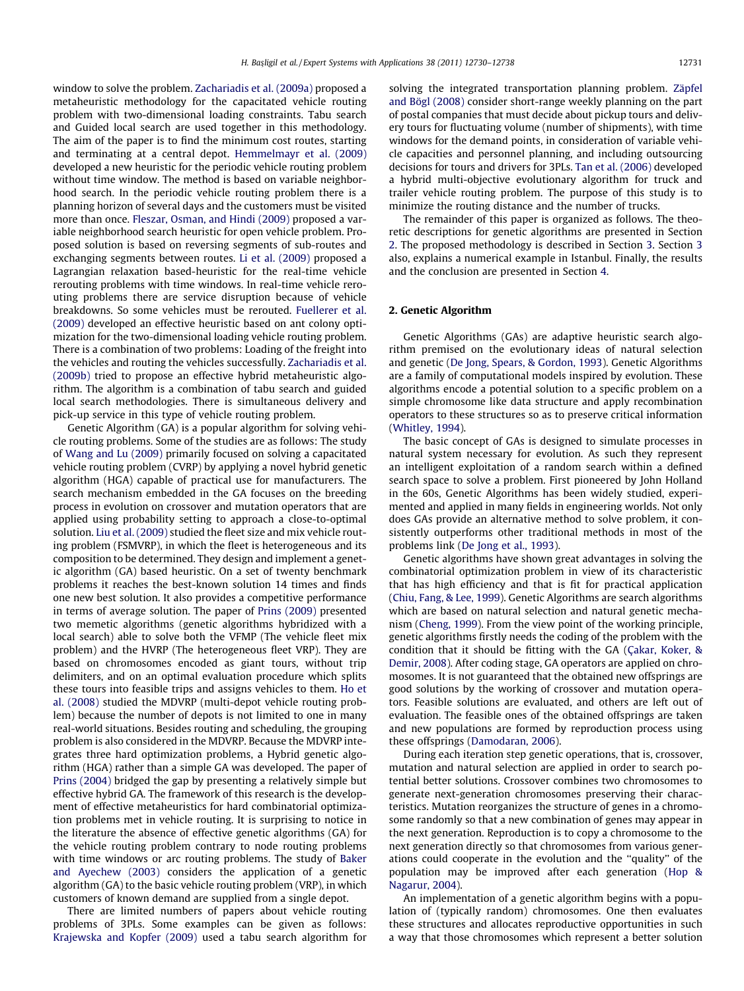window to solve the problem. [Zachariadis et al. \(2009a\)](#page--1-0) proposed a metaheuristic methodology for the capacitated vehicle routing problem with two-dimensional loading constraints. Tabu search and Guided local search are used together in this methodology. The aim of the paper is to find the minimum cost routes, starting and terminating at a central depot. [Hemmelmayr et al. \(2009\)](#page--1-0) developed a new heuristic for the periodic vehicle routing problem without time window. The method is based on variable neighborhood search. In the periodic vehicle routing problem there is a planning horizon of several days and the customers must be visited more than once. [Fleszar, Osman, and Hindi \(2009\)](#page--1-0) proposed a variable neighborhood search heuristic for open vehicle problem. Proposed solution is based on reversing segments of sub-routes and exchanging segments between routes. [Li et al. \(2009\)](#page--1-0) proposed a Lagrangian relaxation based-heuristic for the real-time vehicle rerouting problems with time windows. In real-time vehicle rerouting problems there are service disruption because of vehicle breakdowns. So some vehicles must be rerouted. [Fuellerer et al.](#page--1-0) [\(2009\)](#page--1-0) developed an effective heuristic based on ant colony optimization for the two-dimensional loading vehicle routing problem. There is a combination of two problems: Loading of the freight into the vehicles and routing the vehicles successfully. [Zachariadis et al.](#page--1-0) [\(2009b\)](#page--1-0) tried to propose an effective hybrid metaheuristic algorithm. The algorithm is a combination of tabu search and guided local search methodologies. There is simultaneous delivery and pick-up service in this type of vehicle routing problem.

Genetic Algorithm (GA) is a popular algorithm for solving vehicle routing problems. Some of the studies are as follows: The study of [Wang and Lu \(2009\)](#page--1-0) primarily focused on solving a capacitated vehicle routing problem (CVRP) by applying a novel hybrid genetic algorithm (HGA) capable of practical use for manufacturers. The search mechanism embedded in the GA focuses on the breeding process in evolution on crossover and mutation operators that are applied using probability setting to approach a close-to-optimal solution. [Liu et al. \(2009\)](#page--1-0) studied the fleet size and mix vehicle routing problem (FSMVRP), in which the fleet is heterogeneous and its composition to be determined. They design and implement a genetic algorithm (GA) based heuristic. On a set of twenty benchmark problems it reaches the best-known solution 14 times and finds one new best solution. It also provides a competitive performance in terms of average solution. The paper of [Prins \(2009\)](#page--1-0) presented two memetic algorithms (genetic algorithms hybridized with a local search) able to solve both the VFMP (The vehicle fleet mix problem) and the HVRP (The heterogeneous fleet VRP). They are based on chromosomes encoded as giant tours, without trip delimiters, and on an optimal evaluation procedure which splits these tours into feasible trips and assigns vehicles to them. [Ho et](#page--1-0) [al. \(2008\)](#page--1-0) studied the MDVRP (multi-depot vehicle routing problem) because the number of depots is not limited to one in many real-world situations. Besides routing and scheduling, the grouping problem is also considered in the MDVRP. Because the MDVRP integrates three hard optimization problems, a Hybrid genetic algorithm (HGA) rather than a simple GA was developed. The paper of [Prins \(2004\)](#page--1-0) bridged the gap by presenting a relatively simple but effective hybrid GA. The framework of this research is the development of effective metaheuristics for hard combinatorial optimization problems met in vehicle routing. It is surprising to notice in the literature the absence of effective genetic algorithms (GA) for the vehicle routing problem contrary to node routing problems with time windows or arc routing problems. The study of [Baker](#page--1-0) [and Ayechew \(2003\)](#page--1-0) considers the application of a genetic algorithm (GA) to the basic vehicle routing problem (VRP), in which customers of known demand are supplied from a single depot.

There are limited numbers of papers about vehicle routing problems of 3PLs. Some examples can be given as follows: [Krajewska and Kopfer \(2009\)](#page--1-0) used a tabu search algorithm for solving the integrated transportation planning problem. [Zäpfel](#page--1-0) [and Bögl \(2008\)](#page--1-0) consider short-range weekly planning on the part of postal companies that must decide about pickup tours and delivery tours for fluctuating volume (number of shipments), with time windows for the demand points, in consideration of variable vehicle capacities and personnel planning, and including outsourcing decisions for tours and drivers for 3PLs. [Tan et al. \(2006\)](#page--1-0) developed a hybrid multi-objective evolutionary algorithm for truck and trailer vehicle routing problem. The purpose of this study is to minimize the routing distance and the number of trucks.

The remainder of this paper is organized as follows. The theoretic descriptions for genetic algorithms are presented in Section 2. The proposed methodology is described in Section [3](#page--1-0). Section [3](#page--1-0) also, explains a numerical example in Istanbul. Finally, the results and the conclusion are presented in Section [4.](#page--1-0)

### 2. Genetic Algorithm

Genetic Algorithms (GAs) are adaptive heuristic search algorithm premised on the evolutionary ideas of natural selection and genetic ([De Jong, Spears, & Gordon, 1993](#page--1-0)). Genetic Algorithms are a family of computational models inspired by evolution. These algorithms encode a potential solution to a specific problem on a simple chromosome like data structure and apply recombination operators to these structures so as to preserve critical information ([Whitley, 1994](#page--1-0)).

The basic concept of GAs is designed to simulate processes in natural system necessary for evolution. As such they represent an intelligent exploitation of a random search within a defined search space to solve a problem. First pioneered by John Holland in the 60s, Genetic Algorithms has been widely studied, experimented and applied in many fields in engineering worlds. Not only does GAs provide an alternative method to solve problem, it consistently outperforms other traditional methods in most of the problems link ([De Jong et al., 1993\)](#page--1-0).

Genetic algorithms have shown great advantages in solving the combinatorial optimization problem in view of its characteristic that has high efficiency and that is fit for practical application ([Chiu, Fang, & Lee, 1999](#page--1-0)). Genetic Algorithms are search algorithms which are based on natural selection and natural genetic mechanism ([Cheng, 1999](#page--1-0)). From the view point of the working principle, genetic algorithms firstly needs the coding of the problem with the condition that it should be fitting with the GA ([Çakar, Koker, &](#page--1-0) [Demir, 2008\)](#page--1-0). After coding stage, GA operators are applied on chromosomes. It is not guaranteed that the obtained new offsprings are good solutions by the working of crossover and mutation operators. Feasible solutions are evaluated, and others are left out of evaluation. The feasible ones of the obtained offsprings are taken and new populations are formed by reproduction process using these offsprings [\(Damodaran, 2006\)](#page--1-0).

During each iteration step genetic operations, that is, crossover, mutation and natural selection are applied in order to search potential better solutions. Crossover combines two chromosomes to generate next-generation chromosomes preserving their characteristics. Mutation reorganizes the structure of genes in a chromosome randomly so that a new combination of genes may appear in the next generation. Reproduction is to copy a chromosome to the next generation directly so that chromosomes from various generations could cooperate in the evolution and the ''quality'' of the population may be improved after each generation [\(Hop &](#page--1-0) [Nagarur, 2004](#page--1-0)).

An implementation of a genetic algorithm begins with a population of (typically random) chromosomes. One then evaluates these structures and allocates reproductive opportunities in such a way that those chromosomes which represent a better solution